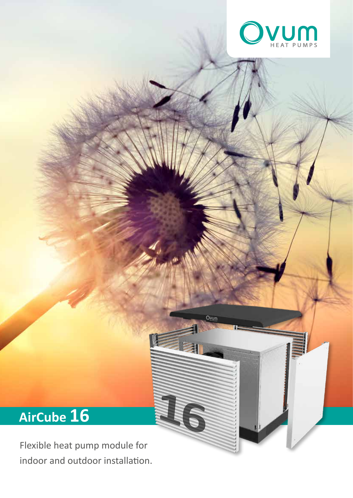

Ovum

# **AirCube 16 16**

Flexible heat pump module for indoor and outdoor installation.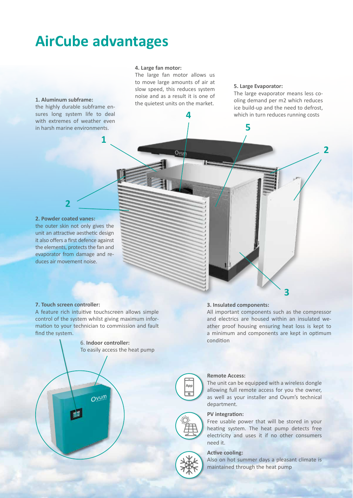# **AirCube advantages**

**1**

#### **4. Large fan motor:**

The large fan motor allows us to move large amounts of air at slow speed, this reduces system noise and as a result it is one of the quietest units on the market.

**4**

Ovud

#### **5. Large Evaporator:**

**5**

The large evaporator means less cooling demand per m2 which reduces ice build-up and the need to defrost, which in turn reduces running costs

**2**

## **1. Aluminum subframe:**

the highly durable subframe ensures long system life to deal with extremes of weather even in harsh marine environments.

#### **2. Powder coated vanes:**

**2**

the outer skin not only gives the unit an attractive aesthetic design it also offers a first defence against the elements, protects the fan and evaporator from damage and reduces air movement noise.

#### **7. Touch screen controller:**

A feature rich intuitive touchscreen allows simple control of the system whilst giving maximum information to your technician to commission and fault find the system.



#### **3. Insulated components:**

All important components such as the compressor and electrics are housed within an insulated weather proof housing ensuring heat loss is kept to a minimum and components are kept in optimum condition

**3**



#### **Remote Access:**

The unit can be equipped with a wireless dongle allowing full remote access for you the owner, as well as your installer and Ovum's technical department.

#### **PV integration:**

Free usable power that will be stored in your heating system. The heat pump detects free electricity and uses it if no other consumers need it.

#### **Active cooling:**

Also on hot summer days a pleasant climate is maintained through the heat pump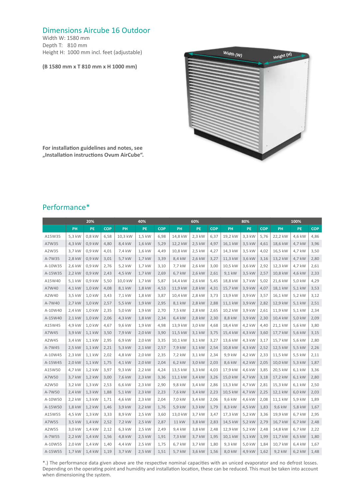### Dimensions Aircube 16 Outdoor

Width W: 1580 mm Depth T: 810 mm Height H: 1000 mm incl. feet (adjustable)

#### **(B 1580 mm x T 810 mm x H 1000 mm)**



**For installation guidelines and notes, see "Installation instructions Ovum AirCube".** 

### Performance\*

|         | 20%      |           |            | 40%     |        |            | 60%     |           |            | 80%     |        |            | 100%    |        |            |
|---------|----------|-----------|------------|---------|--------|------------|---------|-----------|------------|---------|--------|------------|---------|--------|------------|
|         | PH       | <b>PE</b> | <b>COP</b> | PH      | PE     | <b>COP</b> | PH      | <b>PE</b> | <b>COP</b> | PH      | PE     | <b>COP</b> | PH      | PE     | <b>COP</b> |
| A15W35  | 5,3 kW   | 0,8 kW    | 6,58       | 10,3 kW | 1,5 kW | 6,98       | 14,8 kW | 2,3 kW    | 6,37       | 19,2 kW | 3,3 kW | 5,76       | 22,2 kW | 4,6 kW | 4,86       |
| A7W35   | 4,3 kW   | 0,9 kW    | 4,80       | 8,4 kW  | 1,6 kW | 5,29       | 12,2 kW | 2,5 kW    | 4,97       | 16,1 kW | 3,5 kW | 4,61       | 18,6 kW | 4,7 kW | 3,96       |
| A2W35   | 3,7 kW   | 0,9 kW    | 4,01       | 7,4 kW  | 1,6 kW | 4,49       | 10,8 kW | 2,5 kW    | 4,27       | 14,3 kW | 3,5 kW | 4,02       | 16,5 kW | 4,7 kW | 3,50       |
| A-7W35  | 2,8 kW   | $0.9$ kW  | 3,01       | 5,7 kW  | 1,7 kW | 3,39       | 8,4 kW  | 2,6 kW    | 3,27       | 11,3 kW | 3,6 kW | 3,16       | 13,2 kW | 4,7 kW | 2,80       |
| A-10W35 | 2,6 kW   | 0,9 kW    | 2,76       | 5,2 kW  | 1,7 kW | 3,10       | 7,7 kW  | 2,6 kW    | 3,00       | 10,5 kW | 3,6 kW | 2,92       | 12,3 kW | 4,7 kW | 2,61       |
| A-15W35 | 2,2 kW   | 0,9 kW    | 2,43       | 4,5 kW  | 1,7 kW | 2,69       | 6,7 kW  | 2,6 kW    | 2,61       | 9,1 kW  | 3,5 kW | 2,57       | 10,8 kW | 4,6 kW | 2,33       |
| A15W40  | 5,1 kW   | 0,9 kW    | 5,50       | 10,0 kW | 1,7 kW | 5,87       | 14,4 kW | 2,6 kW    | 5,45       | 18,8 kW | 3,7 kW | 5,02       | 21,6 kW | 5,0 kW | 4,29       |
| A7W40   | 4,1 kW   | 1,0 kW    | 4,08       | 8,1 kW  | 1,8 kW | 4,53       | 11,9 kW | 2,8 kW    | 4,31       | 15,7 kW | 3,9 kW | 4,07       | 18,1 kW | 5,1 kW | 3,53       |
| A2W40   | 3,5 kW   | 1,0 kW    | 3,43       | 7,1 kW  | 1,8 kW | 3,87       | 10,4 kW | 2,8 kW    | 3,73       | 13,9 kW | 3,9 kW | 3,57       | 16,1 kW | 5,2 kW | 3,12       |
| A-7W40  | 2,7 kW   | 1,0 kW    | 2,57       | 5,5 kW  | 1,9 kW | 2,95       | 8,1 kW  | 2,8 kW    | 2,88       | 11,1 kW | 3,9 kW | 2,82       | 12,9 kW | 5,1 kW | 2,51       |
| A-10W40 | 2,4 kW   | 1,0 kW    | 2,35       | 5,0 kW  | 1,9 kW | 2,70       | 7,5 kW  | 2,8 kW    | 2,65       | 10,2 kW | 3,9 kW | 2,61       | 11,9 kW | 5,1 kW | 2,34       |
| A-15W40 | $2,1$ kW | 1,0 kW    | 2,06       | 4,3 kW  | 1,8 kW | 2,34       | 6,4 kW  | 2,8 kW    | 2,30       | 8,8 kW  | 3,9 kW | 2,30       | 10,4 kW | 5,0 kW | 2,09       |
| A15W45  | 4,9 kW   | 1,0 kW    | 4,67       | 9,6 kW  | 1,9 kW | 4,98       | 13,9 kW | 3,0 kW    | 4,68       | 18,4 kW | 4,2 kW | 4,40       | 21,1 kW | 5,6 kW | 3,80       |
| A7W45   | 3,9 kW   | 1,1 kW    | 3,50       | 7,9 kW  | 2,0 kW | 3,90       | 11,5 kW | 3,1 kW    | 3,75       | 15,4 kW | 4,3 kW | 3,60       | 17,7 kW | 5,6 kW | 3,15       |
| A2W45   | 3,4 kW   | 1,1 kW    | 2,95       | 6,9 kW  | 2,0 kW | 3,35       | 10,1 kW | 3,1 kW    | 3,27       | 13,6 kW | 4,3 kW | 3,17       | 15,7 kW | 5,6 kW | 2,80       |
| A-7W45  | 2,5 kW   | 1,1 kW    | 2,21       | 5,3 kW  | 2,1 kW | 2,57       | 7,9 kW  | 3,1 kW    | 2,54       | 10,8 kW | 4,3 kW | 2,52       | 12,5 kW | 5,5 kW | 2,26       |
| A-10W45 | 2,3 kW   | 1,1 kW    | 2,02       | 4,8 kW  | 2,0 kW | 2,35       | 7,2 kW  | 3,1 kW    | 2,34       | 9,9 kW  | 4,2 kW | 2,33       | 11,5 kW | 5,5 kW | 2,11       |
| A-15W45 | 2,0 kW   | $1,1$ kW  | 1,75       | 4,1 kW  | 2,0 kW | 2,04       | 6,2 kW  | 3,0 kW    | 2,03       | 8,6 kW  | 4,2 kW | 2,05       | 10,0 kW | 5,3 kW | 1,87       |
| A15W50  | 4,7 kW   | 1,2 kW    | 3,97       | 9,3 kW  | 2,2 kW | 4,24       | 13,5 kW | 3,3 kW    | 4,03       | 17,9 kW | 4,6 kW | 3,85       | 20,5 kW | 6,1 kW | 3,36       |
| A7W50   | 3,7 kW   | 1,2 kW    | 3,00       | 7,6 kW  | 2,3 kW | 3,36       | 11,1 kW | 3,4 kW    | 3,26       | 15,0 kW | 4,7 kW | 3,18       | 17,2 kW | 6,1 kW | 2,80       |
| A2W50   | 3,2 kW   | 1,3 kW    | 2,53       | 6,6 kW  | 2,3 kW | 2,90       | 9,8 kW  | 3,4 kW    | 2,86       | 13,3 kW | 4,7 kW | 2,81       | 15,3 kW | 6,1 kW | 2,50       |
| A-7W50  | 2,4 kW   | 1,3 kW    | 1,88       | 5,1 kW  | 2,3 kW | 2,23       | 7,6 kW  | 3,4 kW    | 2,23       | 10,5 kW | 4,7 kW | 2,25       | 12,1 kW | 6,0 kW | 2,03       |
| A-10W50 | 2,2 kW   | $1,3$ kW  | 1,71       | 4,6 kW  | 2,3 kW | 2,04       | 7,0 kW  | 3,4 kW    | 2,06       | 9,6 kW  | 4,6 kW | 2,08       | 11,1 kW | 5,9 kW | 1,89       |
| A-15W50 | 1,8 kW   | 1,2 kW    | 1,46       | 3,9 kW  | 2,2 kW | 1,76       | 5,9 kW  | 3,3 kW    | 1,79       | 8,3 kW  | 4,5 kW | 1,83       | 9,6 kW  | 5,8 kW | 1,67       |
| A15W55  | 4,5 kW   | 1,3 kW    | 3,33       | 8,9 kW  | 2,5 kW | 3,60       | 13,0 kW | 3,7 kW    | 3,47       | 17,3 kW | 5,2 kW | 3,36       | 19,9 kW | 6,7 kW | 2,95       |
| A7W55   | 3,5 kW   | 1,4 kW    | 2,52       | 7,2 kW  | 2,5 kW | 2,87       | 11 kW   | 3,8 kW    | 2,83       | 14,5 kW | 5,2 kW | 2,79       | 16,7 kW | 6,7 kW | 2,48       |
| A2W55   | 3,0 kW   | 1,4 kW    | 2,12       | 6,3 kW  | 2,5 kW | 2,49       | 9,4 kW  | 3,8 kW    | 2,48       | 12,9 kW | 5,2 kW | 2,48       | 14,8 kW | 6,7 kW | 2,22       |
| A-7W55  | 2,2 kW   | 1,4 kW    | 1,56       | 4,8 kW  | 2,5 kW | 1,91       | 7,3 kW  | 3,7 kW    | 1,95       | 10,1 kW | 5,1 kW | 1,99       | 11,7 kW | 6,5 kW | 1,80       |
| A-10W55 | 2,0 kW   | 1,4 kW    | 1,40       | 4,4 kW  | 2,5 kW | 1,75       | 6,7 kW  | 3,7 kW    | 1,80       | 9,3 kW  | 5,0 kW | 1,84       | 10,7 kW | 6,4 kW | 1,67       |
| A-15W55 | 1,7 kW   | 1,4 kW    | 1,19       | 3,7 kW  | 2,5 kW | 1,51       | 5,7 kW  | 3,6 kW    | 1,56       | 8,0 kW  | 4,9 kW | 1,62       | 9,2 kW  | 6,2 kW | 1,48       |

\*.) The performance data given above are the respective nominal capacities with an uniced evaporator and no defrost losses. Depending on the operating point and humidity and installation location, these can be reduced. This must be taken into account when dimensioning the system.